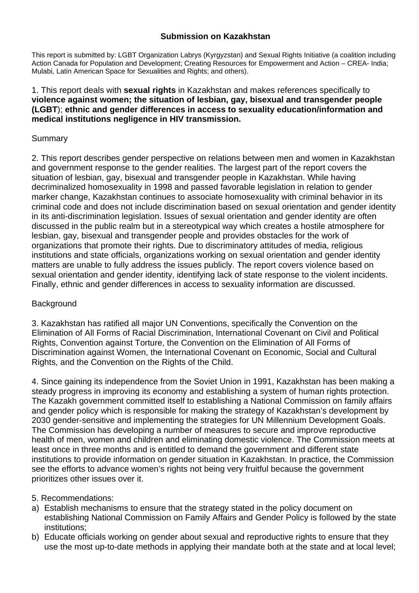#### **Submission on Kazakhstan**

This report is submitted by: LGBT Organization Labrys (Kyrgyzstan) and Sexual Rights Initiative (a coalition including Action Canada for Population and Development; Creating Resources for Empowerment and Action – CREA- India; Mulabi, Latin American Space for Sexualities and Rights; and others).

#### 1. This report deals with **sexual rights** in Kazakhstan and makes references specifically to **violence against women; the situation of lesbian, gay, bisexual and transgender people (LGBT**); **ethnic and gender differences in access to sexuality education/information and medical institutions negligence in HIV transmission.**

#### **Summary**

2. This report describes gender perspective on relations between men and women in Kazakhstan and government response to the gender realities. The largest part of the report covers the situation of lesbian, gay, bisexual and transgender people in Kazakhstan. While having decriminalized homosexuality in 1998 and passed favorable legislation in relation to gender marker change, Kazakhstan continues to associate homosexuality with criminal behavior in its criminal code and does not include discrimination based on sexual orientation and gender identity in its anti-discrimination legislation. Issues of sexual orientation and gender identity are often discussed in the public realm but in a stereotypical way which creates a hostile atmosphere for lesbian, gay, bisexual and transgender people and provides obstacles for the work of organizations that promote their rights. Due to discriminatory attitudes of media, religious institutions and state officials, organizations working on sexual orientation and gender identity matters are unable to fully address the issues publicly. The report covers violence based on sexual orientation and gender identity, identifying lack of state response to the violent incidents. Finally, ethnic and gender differences in access to sexuality information are discussed.

## **Background**

3. Kazakhstan has ratified all major UN Conventions, specifically the Convention on the Elimination of All Forms of Racial Discrimination, International Covenant on Civil and Political Rights, Convention against Torture, the Convention on the Elimination of All Forms of Discrimination against Women, the International Covenant on Economic, Social and Cultural Rights, and the Convention on the Rights of the Child.

4. Since gaining its independence from the Soviet Union in 1991, Kazakhstan has been making a steady progress in improving its economy and establishing a system of human rights protection. The Kazakh government committed itself to establishing a National Commission on family affairs and gender policy which is responsible for making the strategy of Kazakhstan's development by 2030 gender-sensitive and implementing the strategies for UN Millennium Development Goals. The Commission has developing a number of measures to secure and improve reproductive health of men, women and children and eliminating domestic violence. The Commission meets at least once in three months and is entitled to demand the government and different state institutions to provide information on gender situation in Kazakhstan. In practice, the Commission see the efforts to advance women's rights not being very fruitful because the government prioritizes other issues over it.

#### 5. Recommendations:

- a) Establish mechanisms to ensure that the strategy stated in the policy document on establishing National Commission on Family Affairs and Gender Policy is followed by the state institutions;
- b) Educate officials working on gender about sexual and reproductive rights to ensure that they use the most up-to-date methods in applying their mandate both at the state and at local level;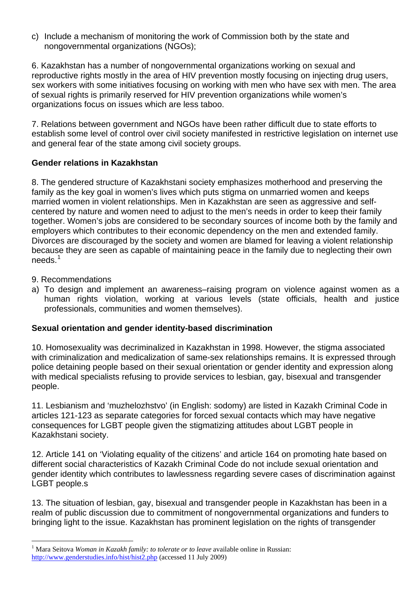c) Include a mechanism of monitoring the work of Commission both by the state and nongovernmental organizations (NGOs);

6. Kazakhstan has a number of nongovernmental organizations working on sexual and reproductive rights mostly in the area of HIV prevention mostly focusing on injecting drug users, sex workers with some initiatives focusing on working with men who have sex with men. The area of sexual rights is primarily reserved for HIV prevention organizations while women's organizations focus on issues which are less taboo.

7. Relations between government and NGOs have been rather difficult due to state efforts to establish some level of control over civil society manifested in restrictive legislation on internet use and general fear of the state among civil society groups.

# **Gender relations in Kazakhstan**

8. The gendered structure of Kazakhstani society emphasizes motherhood and preserving the family as the key goal in women's lives which puts stigma on unmarried women and keeps married women in violent relationships. Men in Kazakhstan are seen as aggressive and selfcentered by nature and women need to adjust to the men's needs in order to keep their family together. Women's jobs are considered to be secondary sources of income both by the family and employers which contributes to their economic dependency on the men and extended family. Divorces are discouraged by the society and women are blamed for leaving a violent relationship because they are seen as capable of maintaining peace in the family due to neglecting their own needs.[1](#page-1-0)

9. Recommendations

 $\overline{a}$ 

a) To design and implement an awareness–raising program on violence against women as a human rights violation, working at various levels (state officials, health and justice professionals, communities and women themselves).

## **Sexual orientation and gender identity-based discrimination**

10. Homosexuality was decriminalized in Kazakhstan in 1998. However, the stigma associated with criminalization and medicalization of same-sex relationships remains. It is expressed through police detaining people based on their sexual orientation or gender identity and expression along with medical specialists refusing to provide services to lesbian, gay, bisexual and transgender people.

11. Lesbianism and 'muzhelozhstvo' (in English: sodomy) are listed in Kazakh Criminal Code in articles 121-123 as separate categories for forced sexual contacts which may have negative consequences for LGBT people given the stigmatizing attitudes about LGBT people in Kazakhstani society.

12. Article 141 on 'Violating equality of the citizens' and article 164 on promoting hate based on different social characteristics of Kazakh Criminal Code do not include sexual orientation and gender identity which contributes to lawlessness regarding severe cases of discrimination against LGBT people.s

13. The situation of lesbian, gay, bisexual and transgender people in Kazakhstan has been in a realm of public discussion due to commitment of nongovernmental organizations and funders to bringing light to the issue. Kazakhstan has prominent legislation on the rights of transgender

<span id="page-1-0"></span><sup>&</sup>lt;sup>1</sup> Mara Seitova *Woman in Kazakh family: to tolerate or to leave* available online in Russian: <http://www.genderstudies.info/hist/hist2.php>(accessed 11 July 2009)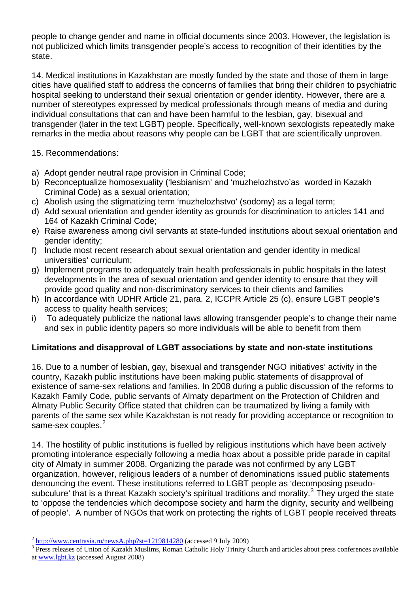people to change gender and name in official documents since 2003. However, the legislation is not publicized which limits transgender people's access to recognition of their identities by the state.

14. Medical institutions in Kazakhstan are mostly funded by the state and those of them in large cities have qualified staff to address the concerns of families that bring their children to psychiatric hospital seeking to understand their sexual orientation or gender identity. However, there are a number of stereotypes expressed by medical professionals through means of media and during individual consultations that can and have been harmful to the lesbian, gay, bisexual and transgender (later in the text LGBT) people. Specifically, well-known sexologists repeatedly make remarks in the media about reasons why people can be LGBT that are scientifically unproven.

15. Recommendations:

- a) Adopt gender neutral rape provision in Criminal Code;
- b) Reconceptualize homosexuality ('lesbianism' and 'muzhelozhstvo'as worded in Kazakh Criminal Code) as a sexual orientation;
- c) Abolish using the stigmatizing term 'muzhelozhstvo' (sodomy) as a legal term;
- d) Add sexual orientation and gender identity as grounds for discrimination to articles 141 and 164 of Kazakh Criminal Code;
- e) Raise awareness among civil servants at state-funded institutions about sexual orientation and gender identity;
- f) Include most recent research about sexual orientation and gender identity in medical universities' curriculum;
- g) Implement programs to adequately train health professionals in public hospitals in the latest developments in the area of sexual orientation and gender identity to ensure that they will provide good quality and non-discriminatory services to their clients and families
- h) In accordance with UDHR Article 21, para. 2, ICCPR Article 25 (c), ensure LGBT people's access to quality health services;
- i) To adequately publicize the national laws allowing transgender people's to change their name and sex in public identity papers so more individuals will be able to benefit from them

## **Limitations and disapproval of LGBT associations by state and non-state institutions**

16. Due to a number of lesbian, gay, bisexual and transgender NGO initiatives' activity in the country, Kazakh public institutions have been making public statements of disapproval of existence of same-sex relations and families. In 2008 during a public discussion of the reforms to Kazakh Family Code, public servants of Almaty department on the Protection of Children and Almaty Public Security Office stated that children can be traumatized by living a family with parents of the same sex while Kazakhstan is not ready for providing acceptance or recognition to .<br>same-sex couples.<sup>[2](#page-2-0)</sup>

14. The hostility of public institutions is fuelled by religious institutions which have been actively promoting intolerance especially following a media hoax about a possible pride parade in capital city of Almaty in summer 2008. Organizing the parade was not confirmed by any LGBT organization, however, religious leaders of a number of denominations issued public statements denouncing the event. These institutions referred to LGBT people as 'decomposing pseudo-subculure' that is a threat Kazakh society's spiritual traditions and morality.<sup>[3](#page-2-1)</sup> They urged the state to 'oppose the tendencies which decompose society and harm the dignity, security and wellbeing of people'. A number of NGOs that work on protecting the rights of LGBT people received threats

 $\overline{a}$ 

<span id="page-2-0"></span> $2 \frac{\text{http://www.centrasia.ru/newsA.php?st=1219814280}}{\text{http://www.centrasia.ru/newsA.php?st=1219814280}}$  (accessed 9 July 2009)

<span id="page-2-1"></span><sup>&</sup>lt;sup>3</sup> Press releases of Union of Kazakh Muslims, Roman Catholic Holy Trinity Church and articles about press conferences available at [www.lgbt.kz](http://www.lgbt.kz/) (accessed August 2008)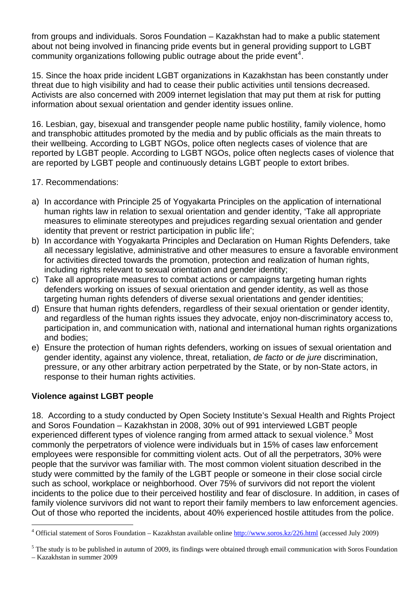from groups and individuals. Soros Foundation – Kazakhstan had to make a public statement about not being involved in financing pride events but in general providing support to LGBT community organizations following public outrage about the pride event<sup>[4](#page-3-0)</sup>.

15. Since the hoax pride incident LGBT organizations in Kazakhstan has been constantly under threat due to high visibility and had to cease their public activities until tensions decreased. Activists are also concerned with 2009 internet legislation that may put them at risk for putting information about sexual orientation and gender identity issues online.

16. Lesbian, gay, bisexual and transgender people name public hostility, family violence, homo and transphobic attitudes promoted by the media and by public officials as the main threats to their wellbeing. According to LGBT NGOs, police often neglects cases of violence that are reported by LGBT people. According to LGBT NGOs, police often neglects cases of violence that are reported by LGBT people and continuously detains LGBT people to extort bribes.

## 17. Recommendations:

- a) In accordance with Principle 25 of Yogyakarta Principles on the application of international human rights law in relation to sexual orientation and gender identity, 'Take all appropriate measures to eliminate stereotypes and prejudices regarding sexual orientation and gender identity that prevent or restrict participation in public life';
- b) In accordance with Yogyakarta Principles and Declaration on Human Rights Defenders, take all necessary legislative, administrative and other measures to ensure a favorable environment for activities directed towards the promotion, protection and realization of human rights, including rights relevant to sexual orientation and gender identity;
- c) Take all appropriate measures to combat actions or campaigns targeting human rights defenders working on issues of sexual orientation and gender identity, as well as those targeting human rights defenders of diverse sexual orientations and gender identities;
- d) Ensure that human rights defenders, regardless of their sexual orientation or gender identity, and regardless of the human rights issues they advocate, enjoy non-discriminatory access to, participation in, and communication with, national and international human rights organizations and bodies;
- e) Ensure the protection of human rights defenders, working on issues of sexual orientation and gender identity, against any violence, threat, retaliation, *de facto* or *de jure* discrimination, pressure, or any other arbitrary action perpetrated by the State, or by non-State actors, in response to their human rights activities.

## **Violence against LGBT people**

18. According to a study conducted by Open Society Institute's Sexual Health and Rights Project and Soros Foundation – Kazakhstan in 2008, 30% out of 991 interviewed LGBT people experienced different types of violence ranging from armed attack to sexual violence.<sup>[5](#page-3-1)</sup> Most commonly the perpetrators of violence were individuals but in 15% of cases law enforcement employees were responsible for committing violent acts. Out of all the perpetrators, 30% were people that the survivor was familiar with. The most common violent situation described in the study were committed by the family of the LGBT people or someone in their close social circle such as school, workplace or neighborhood. Over 75% of survivors did not report the violent incidents to the police due to their perceived hostility and fear of disclosure. In addition, in cases of family violence survivors did not want to report their family members to law enforcement agencies. Out of those who reported the incidents, about 40% experienced hostile attitudes from the police.

<span id="page-3-0"></span> $\overline{a}$ <sup>4</sup> Official statement of Soros Foundation – Kazakhstan available online<http://www.soros.kz/226.html>(accessed July 2009)

<span id="page-3-1"></span> $<sup>5</sup>$  The study is to be published in autumn of 2009, its findings were obtained through email communication with Soros Foundation</sup>

<sup>–</sup> Kazakhstan in summer 2009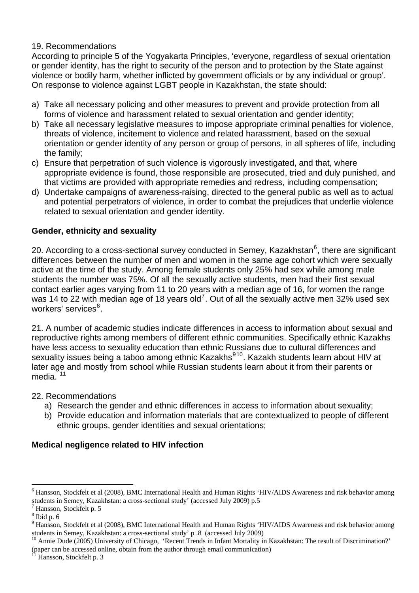# 19. Recommendations

According to principle 5 of the Yogyakarta Principles, 'everyone, regardless of sexual orientation or gender identity, has the right to security of the person and to protection by the State against violence or bodily harm, whether inflicted by government officials or by any individual or group'. On response to violence against LGBT people in Kazakhstan, the state should:

- a) Take all necessary policing and other measures to prevent and provide protection from all forms of violence and harassment related to sexual orientation and gender identity;
- b) Take all necessary legislative measures to impose appropriate criminal penalties for violence, threats of violence, incitement to violence and related harassment, based on the sexual orientation or gender identity of any person or group of persons, in all spheres of life, including the family;
- c) Ensure that perpetration of such violence is vigorously investigated, and that, where appropriate evidence is found, those responsible are prosecuted, tried and duly punished, and that victims are provided with appropriate remedies and redress, including compensation;
- d) Undertake campaigns of awareness-raising, directed to the general public as well as to actual and potential perpetrators of violence, in order to combat the prejudices that underlie violence related to sexual orientation and gender identity.

# **Gender, ethnicity and sexuality**

20. According to a cross-sectional survey conducted in Semey, Kazakhstan $^6$  $^6$ , there are significant differences between the number of men and women in the same age cohort which were sexually active at the time of the study. Among female students only 25% had sex while among male students the number was 75%. Of all the sexually active students, men had their first sexual contact earlier ages varying from 11 to 20 years with a median age of 16, for women the range was 14 to 22 with median age of 18 years old<sup>[7](#page-4-1)</sup>. Out of all the sexually active men 32% used sex workers' services<sup>[8](#page-4-2)</sup>.

21. A number of academic studies indicate differences in access to information about sexual and reproductive rights among members of different ethnic communities. Specifically ethnic Kazakhs have less access to sexuality education than ethnic Russians due to cultural differences and sexuality issues being a taboo among ethnic Kazakhs<sup>[9](#page-4-3)[10](#page-4-4)</sup>. Kazakh students learn about HIV at later age and mostly from school while Russian students learn about it from their parents or media.

22. Recommendations

- a) Research the gender and ethnic differences in access to information about sexuality;
- b) Provide education and information materials that are contextualized to people of different ethnic groups, gender identities and sexual orientations;

## **Medical negligence related to HIV infection**

 $\overline{a}$ 

<span id="page-4-0"></span><sup>&</sup>lt;sup>6</sup> Hansson, Stockfelt et al (2008), BMC International Health and Human Rights 'HIV/AIDS Awareness and risk behavior among students in Semey, Kazakhstan: a cross-sectional study' (accessed July 2009) p.5

<span id="page-4-1"></span> $<sup>7</sup>$  Hansson, Stockfelt p. 5</sup>

<span id="page-4-2"></span> $8$  Ibid p. 6

<span id="page-4-3"></span><sup>&</sup>lt;sup>9</sup> Hansson, Stockfelt et al (2008), BMC International Health and Human Rights 'HIV/AIDS Awareness and risk behavior among students in Semey, Kazakhstan: a cross-sectional study' p .8 (accessed July 2009)<br><sup>10</sup> Annie Dude (2005) University of Chicago, 'Recent Trends in Infant Mortality in Kazakhstan: The result of Discrimination?'

<span id="page-4-4"></span><sup>(</sup>paper can be accessed online, obtain from the author through email communication)<br><sup>11</sup> Hansson, Steal falt and 2

<span id="page-4-5"></span>Hansson, Stockfelt p. 3